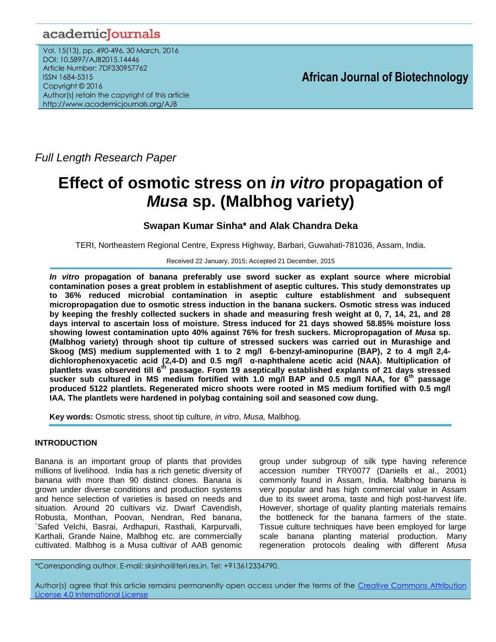## academicJournals

Vol. 15(13), pp. 490-496, 30 March, 2016 DOI: 10.5897/AJB2015.14446 Article Number: 7DF330957762 ISSN 1684-5315 Copyright © 2016 Author(s) retain the copyright of this article http://www.academicjournals.org/AJB

**African Journal of Biotechnology**

*Full Length Research Paper*

# **Effect of osmotic stress on** *in vitro* **propagation of**  *Musa* **sp. (Malbhog variety)**

## **Swapan Kumar Sinha\* and Alak Chandra Deka**

TERI, Northeastern Regional Centre, Express Highway, Barbari, Guwahati-781036, Assam, India.

#### Received 22 January, 2015; Accepted 21 December, 2015

*In vitro* **propagation of banana preferably use sword sucker as explant source where microbial contamination poses a great problem in establishment of aseptic cultures. This study demonstrates up to 36% reduced microbial contamination in aseptic culture establishment and subsequent micropropagation due to osmotic stress induction in the banana suckers. Osmotic stress was induced by keeping the freshly collected suckers in shade and measuring fresh weight at 0, 7, 14, 21, and 28 days interval to ascertain loss of moisture. Stress induced for 21 days showed 58.85% moisture loss showing lowest contamination upto 40% against 76% for fresh suckers. Micropropagation of** *Musa* **sp. (Malbhog variety) through shoot tip culture of stressed suckers was carried out in Murashige and Skoog (MS) medium supplemented with 1 to 2 mg/l 6-benzyl-aminopurine (BAP), 2 to 4 mg/l 2,4 dichlorophenoxyacetic acid (2,4-D) and 0.5 mg/l α-naphthalene acetic acid (NAA). Multiplication of plantlets was observed till 6th passage. From 19 aseptically established explants of 21 days stressed sucker sub cultured in MS medium fortified with 1.0 mg/l BAP and 0.5 mg/l NAA, for 6 th passage produced 5122 plantlets. Regenerated micro shoots were rooted in MS medium fortified with 0.5 mg/l IAA. The plantlets were hardened in polybag containing soil and seasoned cow dung.** 

**Key words:** Osmotic stress, shoot tip culture, *in vitro*, *Musa,* Malbhog.

## **INTRODUCTION**

Banana is an important group of plants that provides millions of livelihood. India has a rich genetic diversity of banana with more than 90 distinct clones. Banana is grown under diverse conditions and production systems and hence selection of varieties is based on needs and situation. Around 20 cultivars viz. Dwarf Cavendish, Robusta, Monthan, Poovan, Nendran, Red banana, `Safed Velchi, Basrai, Ardhapuri, Rasthali, Karpurvalli, Karthali, Grande Naine, Malbhog etc. are commercially cultivated. Malbhog is a Musa cultivar of AAB genomic group under subgroup of silk type having reference accession number TRY0077 (Daniells et al., 2001) commonly found in Assam, India. Malbhog banana is very popular and has high commercial value in Assam due to its sweet aroma, taste and high post-harvest life. However, shortage of quality planting materials remains the bottleneck for the banana farmers of the state. Tissue culture techniques have been employed for large scale banana planting material production. Many regeneration protocols dealing with different *Musa* 

\*Corresponding author. E-mail: sksinha@teri.res.in. Tel: +913612334790.

Author(s) agree that this article remains permanently open access under the terms of the [Creative Commons Attribution](http://creativecommons.org/licenses/by/4.0/deed.en_US)  [License 4.0 International License](http://creativecommons.org/licenses/by/4.0/deed.en_US)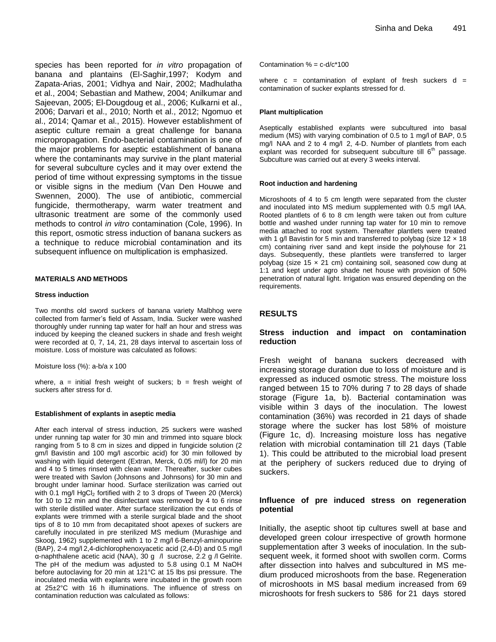species has been reported for *in vitro* propagation of banana and plantains (El-Saghir,1997; Kodym and Zapata-Arias, 2001; Vidhya and Nair, 2002; Madhulatha et al., 2004; Sebastian and Mathew, 2004; Anilkumar and Sajeevan, 2005; El-Dougdoug et al., 2006; Kulkarni et al., 2006; Darvari et al., 2010; North et al., 2012; Ngomuo et al., 2014; Qamar et al., 2015). However establishment of aseptic culture remain a great challenge for banana micropropagation. Endo-bacterial contamination is one of the major problems for aseptic establishment of banana where the contaminants may survive in the plant material for several subculture cycles and it may over extend the period of time without expressing symptoms in the tissue or visible signs in the medium (Van Den Houwe and Swennen, 2000). The use of antibiotic, commercial fungicide, thermotherapy, warm water treatment and ultrasonic treatment are some of the commonly used methods to control *in vitro* contamination (Cole, 1996). In this report, osmotic stress induction of banana suckers as a technique to reduce microbial contamination and its subsequent influence on multiplication is emphasized.

#### **MATERIALS AND METHODS**

#### **Stress induction**

Two months old sword suckers of banana variety Malbhog were collected from farmer's field of Assam, India. Sucker were washed thoroughly under running tap water for half an hour and stress was induced by keeping the cleaned suckers in shade and fresh weight were recorded at 0, 7, 14, 21, 28 days interval to ascertain loss of moisture. Loss of moisture was calculated as follows:

Moisture loss (%): a-b/a x 100

where,  $a =$  initial fresh weight of suckers;  $b =$  fresh weight of suckers after stress for d.

#### **Establishment of explants in aseptic media**

After each interval of stress induction, 25 suckers were washed under running tap water for 30 min and trimmed into square block ranging from 5 to 8 cm in sizes and dipped in fungicide solution (2 gm/l Bavistin and 100 mg/l ascorbic acid) for 30 min followed by washing with liquid detergent (Extran, Merck, 0.05 ml/l) for 20 min and 4 to 5 times rinsed with clean water. Thereafter, sucker cubes were treated with Savlon (Johnsons and Johnsons) for 30 min and brought under laminar hood. Surface sterilization was carried out with 0.1 mg/l  $HgCl<sub>2</sub>$  fortified with 2 to 3 drops of Tween 20 (Merck) for 10 to 12 min and the disinfectant was removed by 4 to 6 rinse with sterile distilled water. After surface sterilization the cut ends of explants were trimmed with a sterile surgical blade and the shoot tips of 8 to 10 mm from decapitated shoot apexes of suckers are carefully inoculated in pre sterilized MS medium (Murashige and Skoog, 1962) supplemented with 1 to 2 mg/l 6-Benzyl-aminopurine (BAP), 2-4 mg/l 2,4-dichlorophenoxyacetic acid (2,4-D) and 0.5 mg/l α-naphthalene acetic acid (NAA), 30 g /l sucrose, 2.2 g /l Gelrite. The pH of the medium was adjusted to 5.8 using 0.1 M NaOH before autoclaving for 20 min at 121°C at 15 lbs psi pressure. The inoculated media with explants were incubated in the growth room at 25±2°C with 16 h illuminations. The influence of stress on contamination reduction was calculated as follows:

Contamination  $% = c-d/c*100$ 

where  $c =$  contamination of explant of fresh suckers  $d =$ contamination of sucker explants stressed for d.

#### **Plant multiplication**

Aseptically established explants were subcultured into basal medium (MS) with varying combination of 0.5 to 1 mg/l of BAP, 0.5 mg/l NAA and 2 to 4 mg/l 2, 4-D. Number of plantlets from each explant was recorded for subsequent subculture till  $6<sup>th</sup>$  passage. Subculture was carried out at every 3 weeks interval.

#### **Root induction and hardening**

Microshoots of 4 to 5 cm length were separated from the cluster and inoculated into MS medium supplemented with 0.5 mg/l IAA. Rooted plantlets of 6 to 8 cm length were taken out from culture bottle and washed under running tap water for 10 min to remove media attached to root system. Thereafter plantlets were treated with 1 g/l Bavistin for 5 min and transferred to polybag (size  $12 \times 18$ cm) containing river sand and kept inside the polyhouse for 21 days. Subsequently, these plantlets were transferred to larger polybag (size 15 × 21 cm) containing soil, seasoned cow dung at 1:1 and kept under agro shade net house with provision of 50% penetration of natural light. Irrigation was ensured depending on the requirements.

#### **RESULTS**

#### **Stress induction and impact on contamination reduction**

Fresh weight of banana suckers decreased with increasing storage duration due to loss of moisture and is expressed as induced osmotic stress. The moisture loss ranged between 15 to 70% during 7 to 28 days of shade storage (Figure 1a, b). Bacterial contamination was visible within 3 days of the inoculation. The lowest contamination (36%) was recorded in 21 days of shade storage where the sucker has lost 58% of moisture (Figure 1c, d). Increasing moisture loss has negative relation with microbial contamination till 21 days (Table 1). This could be attributed to the microbial load present at the periphery of suckers reduced due to drying of suckers.

#### **Influence of pre induced stress on regeneration potential**

Initially, the aseptic shoot tip cultures swell at base and developed green colour irrespective of growth hormone supplementation after 3 weeks of inoculation. In the subsequent week, it formed shoot with swollen corm. Corms after dissection into halves and subcultured in MS medium produced microshoots from the base. Regeneration of microshoots in MS basal medium increased from 69 microshoots for fresh suckers to 586 for 21 days stored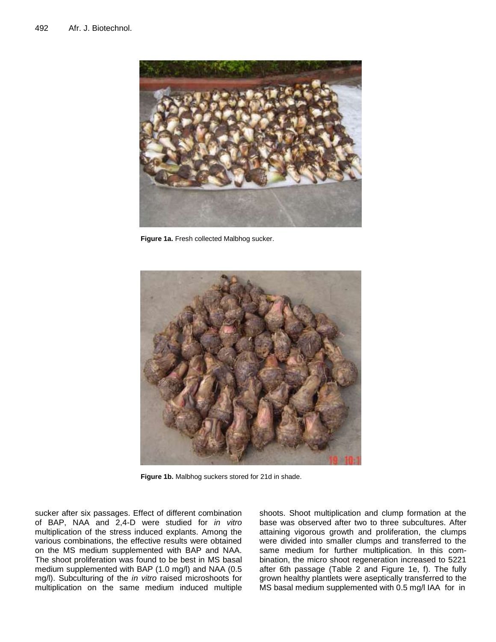

**Figure 1a.** Fresh collected Malbhog sucker.



**Figure 1b.** Malbhog suckers stored for 21d in shade.

sucker after six passages. Effect of different combination of BAP, NAA and 2,4-D were studied for *in vitro* multiplication of the stress induced explants. Among the various combinations, the effective results were obtained on the MS medium supplemented with BAP and NAA. The shoot proliferation was found to be best in MS basal medium supplemented with BAP (1.0 mg/l) and NAA (0.5 mg/l). Subculturing of the *in vitro* raised microshoots for multiplication on the same medium induced multiple shoots. Shoot multiplication and clump formation at the base was observed after two to three subcultures. After attaining vigorous growth and proliferation, the clumps were divided into smaller clumps and transferred to the same medium for further multiplication. In this combination, the micro shoot regeneration increased to 5221 after 6th passage (Table 2 and Figure 1e, f). The fully grown healthy plantlets were aseptically transferred to the MS basal medium supplemented with 0.5 mg/l IAA for in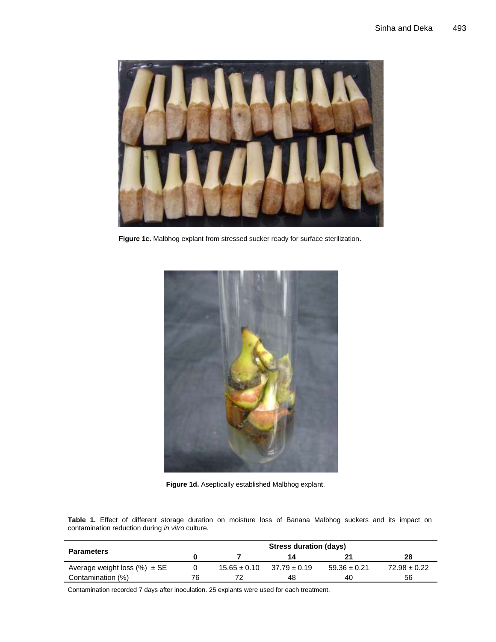

**Figure 1c.** Malbhog explant from stressed sucker ready for surface sterilization.



**Figure 1d.** Aseptically established Malbhog explant.

**Table 1.** Effect of different storage duration on moisture loss of Banana Malbhog suckers and its impact on contamination reduction during *in vitro* culture.

|                                   | Stress duration (days) |                  |                  |                  |                  |  |  |  |
|-----------------------------------|------------------------|------------------|------------------|------------------|------------------|--|--|--|
| <b>Parameters</b>                 |                        |                  | 14               |                  | 28               |  |  |  |
| Average weight loss $(\%) \pm SE$ |                        | $15.65 \pm 0.10$ | $37.79 \pm 0.19$ | $59.36 \pm 0.21$ | $72.98 \pm 0.22$ |  |  |  |
| Contamination (%)                 | 76                     |                  | 48               | 40               | 56               |  |  |  |

Contamination recorded 7 days after inoculation. 25 explants were used for each treatment.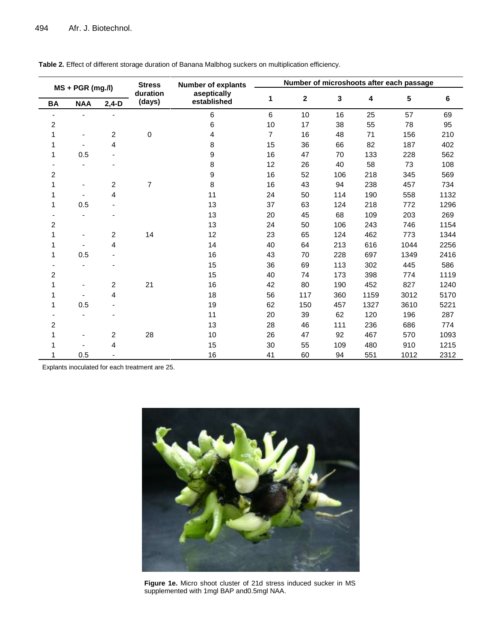| $MS + PGR$ (mg./l)<br><b>BA</b><br><b>NAA</b><br>$2,4-D$ |     | <b>Stress</b>           | <b>Number of explants</b>  | Number of microshoots after each passage |                |              |     |      |      |      |
|----------------------------------------------------------|-----|-------------------------|----------------------------|------------------------------------------|----------------|--------------|-----|------|------|------|
|                                                          |     | duration<br>(days)      | aseptically<br>established | 1                                        | $\mathbf 2$    | $\mathbf{3}$ | 4   | 5    | 6    |      |
|                                                          |     |                         |                            | 6                                        | $6\phantom{a}$ | 10           | 16  | 25   | 57   | 69   |
| 2                                                        |     |                         |                            | 6                                        | 10             | 17           | 38  | 55   | 78   | 95   |
|                                                          |     | 2                       | 0                          | 4                                        | $\overline{7}$ | 16           | 48  | 71   | 156  | 210  |
|                                                          |     | 4                       |                            | 8                                        | 15             | 36           | 66  | 82   | 187  | 402  |
|                                                          | 0.5 |                         |                            | 9                                        | 16             | 47           | 70  | 133  | 228  | 562  |
|                                                          |     |                         |                            | 8                                        | 12             | 26           | 40  | 58   | 73   | 108  |
| $\overline{c}$                                           |     |                         |                            | 9                                        | 16             | 52           | 106 | 218  | 345  | 569  |
|                                                          |     | 2                       | $\overline{7}$             | 8                                        | 16             | 43           | 94  | 238  | 457  | 734  |
|                                                          |     | 4                       |                            | 11                                       | 24             | 50           | 114 | 190  | 558  | 1132 |
| 1                                                        | 0.5 |                         |                            | 13                                       | 37             | 63           | 124 | 218  | 772  | 1296 |
|                                                          |     |                         |                            | 13                                       | 20             | 45           | 68  | 109  | 203  | 269  |
| $\overline{2}$                                           |     |                         |                            | 13                                       | 24             | 50           | 106 | 243  | 746  | 1154 |
|                                                          |     | 2                       | 14                         | 12                                       | 23             | 65           | 124 | 462  | 773  | 1344 |
|                                                          |     | 4                       |                            | 14                                       | 40             | 64           | 213 | 616  | 1044 | 2256 |
| 1                                                        | 0.5 |                         |                            | 16                                       | 43             | 70           | 228 | 697  | 1349 | 2416 |
|                                                          |     |                         |                            | 15                                       | 36             | 69           | 113 | 302  | 445  | 586  |
| $\overline{2}$                                           |     |                         |                            | 15                                       | 40             | 74           | 173 | 398  | 774  | 1119 |
|                                                          |     | $\overline{\mathbf{c}}$ | 21                         | 16                                       | 42             | 80           | 190 | 452  | 827  | 1240 |
|                                                          |     | 4                       |                            | 18                                       | 56             | 117          | 360 | 1159 | 3012 | 5170 |
|                                                          | 0.5 |                         |                            | 19                                       | 62             | 150          | 457 | 1327 | 3610 | 5221 |
|                                                          |     |                         |                            | 11                                       | 20             | 39           | 62  | 120  | 196  | 287  |
| 2                                                        |     |                         |                            | 13                                       | 28             | 46           | 111 | 236  | 686  | 774  |
|                                                          |     | 2                       | 28                         | 10                                       | 26             | 47           | 92  | 467  | 570  | 1093 |
|                                                          |     | 4                       |                            | 15                                       | 30             | 55           | 109 | 480  | 910  | 1215 |
|                                                          | 0.5 |                         |                            | 16                                       | 41             | 60           | 94  | 551  | 1012 | 2312 |

**Table 2.** Effect of different storage duration of Banana Malbhog suckers on multiplication efficiency.

Explants inoculated for each treatment are 25.



**Figure 1e.** Micro shoot cluster of 21d stress induced sucker in MS supplemented with 1mgl BAP and0.5mgl NAA.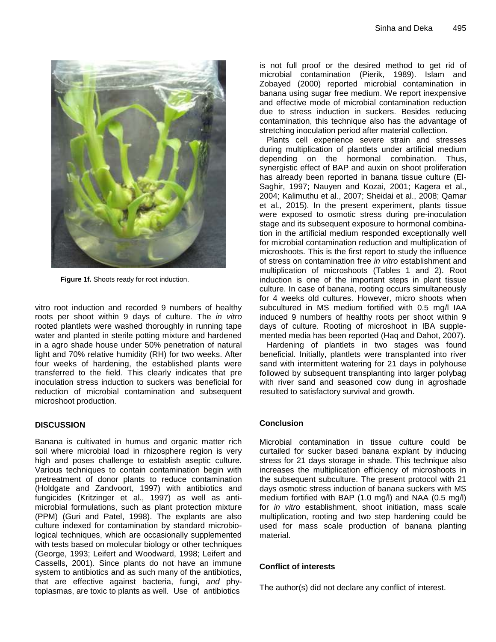

**Figure 1f.** Shoots ready for root induction.

vitro root induction and recorded 9 numbers of healthy roots per shoot within 9 days of culture. The *in vitro* rooted plantlets were washed thoroughly in running tape water and planted in sterile potting mixture and hardened in a agro shade house under 50% penetration of natural light and 70% relative humidity (RH) for two weeks. After four weeks of hardening, the established plants were transferred to the field. This clearly indicates that pre inoculation stress induction to suckers was beneficial for reduction of microbial contamination and subsequent microshoot production.

## **DISCUSSION**

Banana is cultivated in humus and organic matter rich soil where microbial load in rhizosphere region is very high and poses challenge to establish aseptic culture. Various techniques to contain contamination begin with pretreatment of donor plants to reduce contamination (Holdgate and Zandvoort, 1997) with antibiotics and fungicides (Kritzinger et al., 1997) as well as antimicrobial formulations, such as plant protection mixture (PPM) (Guri and Patel, 1998). The explants are also culture indexed for contamination by standard microbiological techniques, which are occasionally supplemented with tests based on molecular biology or other techniques (George, 1993; Leifert and Woodward, 1998; Leifert and Cassells, 2001). Since plants do not have an immune system to antibiotics and as such many of the antibiotics, that are effective against bacteria, fungi, *and* phytoplasmas, are toxic to plants as well. Use of antibiotics

is not full proof or the desired method to get rid of microbial contamination (Pierik, 1989). Islam and Zobayed (2000) reported microbial contamination in banana using sugar free medium. We report inexpensive and effective mode of microbial contamination reduction due to stress induction in suckers. Besides reducing contamination, this technique also has the advantage of stretching inoculation period after material collection.

Plants cell experience severe strain and stresses during multiplication of plantlets under artificial medium depending on the hormonal combination. Thus, synergistic effect of BAP and auxin on shoot proliferation has already been reported in banana tissue culture (El-Saghir, 1997; Nauyen and Kozai, 2001; Kagera et al., 2004; Kalimuthu et al., 2007; Sheidai et al., 2008; Qamar et al., 2015). In the present experiment, plants tissue were exposed to osmotic stress during pre-inoculation stage and its subsequent exposure to hormonal combination in the artificial medium responded exceptionally well for microbial contamination reduction and multiplication of microshoots. This is the first report to study the influence of stress on contamination free *in vitro* establishment and multiplication of microshoots (Tables 1 and 2). Root induction is one of the important steps in plant tissue culture. In case of banana, rooting occurs simultaneously for 4 weeks old cultures. However, micro shoots when subcultured in MS medium fortified with 0.5 mg/l IAA induced 9 numbers of healthy roots per shoot within 9 days of culture. Rooting of microshoot in IBA supplemented media has been reported (Haq and Dahot, 2007).

Hardening of plantlets in two stages was found beneficial. Initially, plantlets were transplanted into river sand with intermittent watering for 21 days in polyhouse followed by subsequent transplanting into larger polybag with river sand and seasoned cow dung in agroshade resulted to satisfactory survival and growth.

## **Conclusion**

Microbial contamination in tissue culture could be curtailed for sucker based banana explant by inducing stress for 21 days storage in shade. This technique also increases the multiplication efficiency of microshoots in the subsequent subculture. The present protocol with 21 days osmotic stress induction of banana suckers with MS medium fortified with BAP (1.0 mg/l) and NAA (0.5 mg/l) for *in vitro* establishment, shoot initiation, mass scale multiplication, rooting and two step hardening could be used for mass scale production of banana planting material.

## **Conflict of interests**

The author(s) did not declare any conflict of interest.